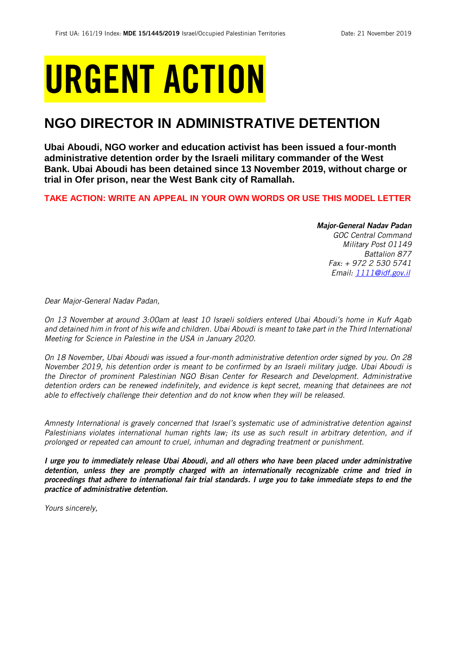## URGENT ACTION

## **NGO DIRECTOR IN ADMINISTRATIVE DETENTION**

**Ubai Aboudi, NGO worker and education activist has been issued a four-month administrative detention order by the Israeli military commander of the West Bank. Ubai Aboudi has been detained since 13 November 2019, without charge or trial in Ofer prison, near the West Bank city of Ramallah.** 

**TAKE ACTION: WRITE AN APPEAL IN YOUR OWN WORDS OR USE THIS MODEL LETTER**

*Major-General Nadav Padan GOC Central Command Military Post 01149 Battalion 877 Fax: + 972 2 530 5741 Email[: 1111@idf.gov.il](mailto:1111@idf.gov.il)*

*Dear Major-General Nadav Padan,*

*On 13 November at around 3:00am at least 10 Israeli soldiers entered Ubai Aboudi's home in Kufr Aqab* and detained him in front of his wife and children. Ubai Aboudi is meant to take part in the Third International *Meeting for Science in Palestine in the USA in January 2020.* 

*On 18 November, Ubai Aboudi was issued a four-month administrative detention order signed by you. On 28 November 2019, his detention order is meant to be confirmed by an Israeli military judge. Ubai Aboudi is the Director of prominent Palestinian NGO Bisan Center for Research and Development. Administrative detention orders can be renewed indefinitely, and evidence is kept secret, meaning that detainees are not able to effectively challenge their detention and do not know when they will be released.*

*Amnesty International is gravely concerned that Israel's systematic use of administrative detention against Palestinians violates international human rights law; its use as such result in arbitrary detention, and if prolonged or repeated can amount to cruel, inhuman and degrading treatment or punishment.*

*I urge you to immediately release Ubai Aboudi, and all others who have been placed under administrative detention, unless they are promptly charged with an internationally recognizable crime and tried in proceedings that adhere to international fair trial standards. I urge you to take immediate steps to end the practice of administrative detention.*

*Yours sincerely,*